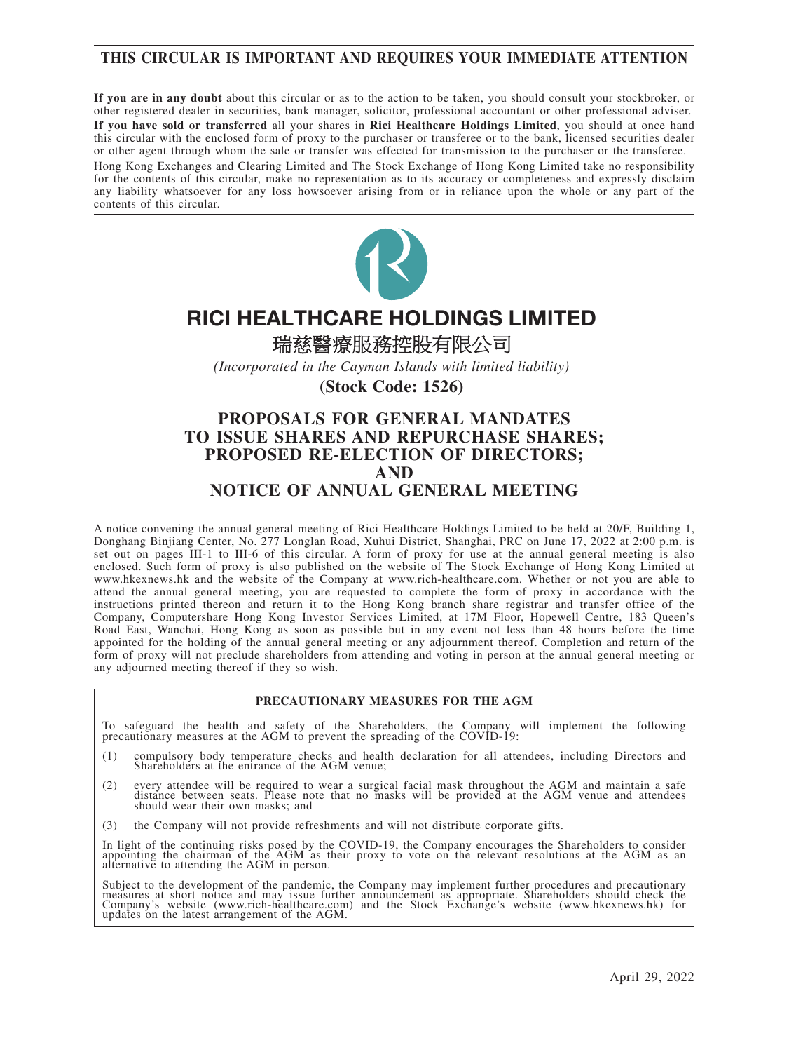## **THIS CIRCULAR IS IMPORTANT AND REQUIRES YOUR IMMEDIATE ATTENTION**

**If you are in any doubt** about this circular or as to the action to be taken, you should consult your stockbroker, or other registered dealer in securities, bank manager, solicitor, professional accountant or other professional adviser.

**If you have sold or transferred** all your shares in **Rici Healthcare Holdings Limited**, you should at once hand this circular with the enclosed form of proxy to the purchaser or transferee or to the bank, licensed securities dealer or other agent through whom the sale or transfer was effected for transmission to the purchaser or the transferee.

Hong Kong Exchanges and Clearing Limited and The Stock Exchange of Hong Kong Limited take no responsibility for the contents of this circular, make no representation as to its accuracy or completeness and expressly disclaim any liability whatsoever for any loss howsoever arising from or in reliance upon the whole or any part of the contents of this circular.



# RICI HEALTHCARE HOLDINGS LIMITED

瑞慈醫療服務控股有限公司

*(Incorporated in the Cayman Islands with limited liability)*

**(Stock Code: 1526)**

## **PROPOSALS FOR GENERAL MANDATES TO ISSUE SHARES AND REPURCHASE SHARES; PROPOSED RE-ELECTION OF DIRECTORS; AND NOTICE OF ANNUAL GENERAL MEETING**

A notice convening the annual general meeting of Rici Healthcare Holdings Limited to be held at 20/F, Building 1, Donghang Binjiang Center, No. 277 Longlan Road, Xuhui District, Shanghai, PRC on June 17, 2022 at 2:00 p.m. is set out on pages III-1 to III-6 of this circular. A form of proxy for use at the annual general meeting is also enclosed. Such form of proxy is also published on the website of The Stock Exchange of Hong Kong Limited at www.hkexnews.hk and the website of the Company at www.rich-healthcare.com. Whether or not you are able to attend the annual general meeting, you are requested to complete the form of proxy in accordance with the instructions printed thereon and return it to the Hong Kong branch share registrar and transfer office of the Company, Computershare Hong Kong Investor Services Limited, at 17M Floor, Hopewell Centre, 183 Queen's Road East, Wanchai, Hong Kong as soon as possible but in any event not less than 48 hours before the time appointed for the holding of the annual general meeting or any adjournment thereof. Completion and return of the form of proxy will not preclude shareholders from attending and voting in person at the annual general meeting or any adjourned meeting thereof if they so wish.

#### **PRECAUTIONARY MEASURES FOR THE AGM**

To safeguard the health and safety of the Shareholders, the Company will implement the following precautionary measures at the AGM to prevent the spreading of the COVID-19:

- (1) compulsory body temperature checks and health declaration for all attendees, including Directors and Shareholders at the entrance of the AGM venue;
- (2) every attendee will be required to wear a surgical facial mask throughout the AGM and maintain a safe distance between seats. Please note that no masks will be provided at the AGM venue and attendees should wear their own masks; and
- (3) the Company will not provide refreshments and will not distribute corporate gifts.

In light of the continuing risks posed by the COVID-19, the Company encourages the Shareholders to consider appointing the chairman of the AGM as their proxy to vote on the relevant resolutions at the AGM as an alternative

Subject to the development of the pandemic, the Company may implement further procedures and precautionary<br>measures at short notice and may issue further announcement as appropriate. Shareholders should check the<br>Company's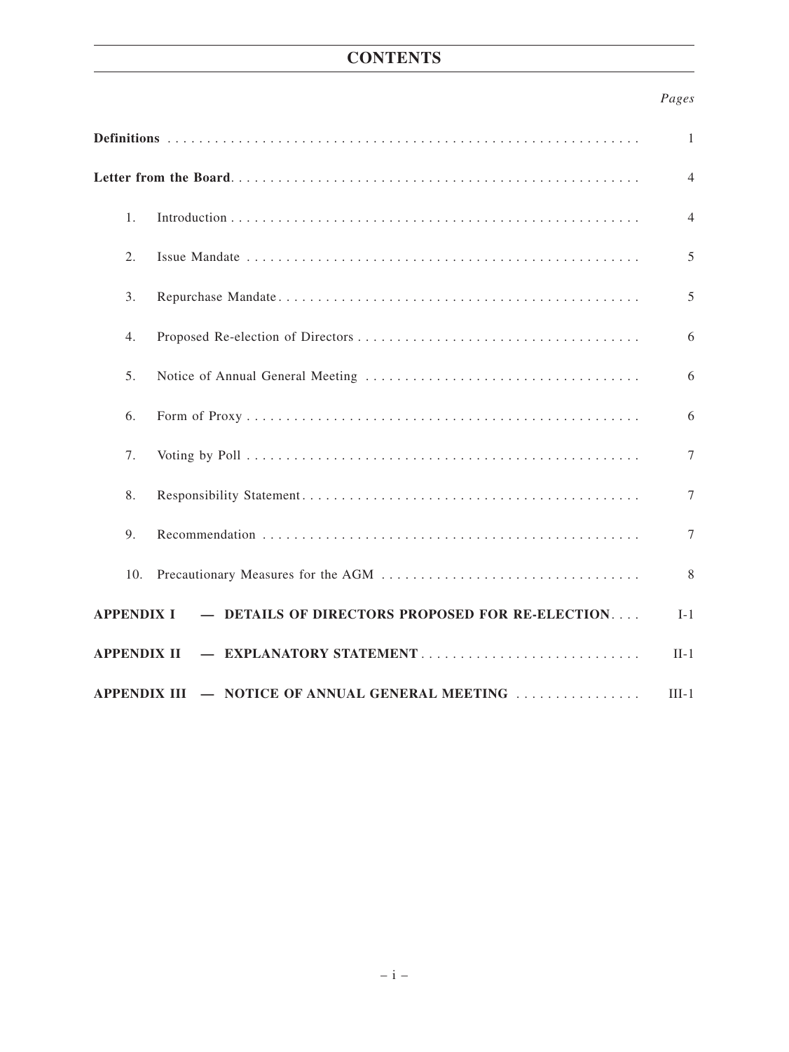## **CONTENTS**

## *Pages*

|                                                                               | 1.  |  | 4      |  |  |
|-------------------------------------------------------------------------------|-----|--|--------|--|--|
|                                                                               | 2.  |  | 5      |  |  |
|                                                                               | 3.  |  | 5      |  |  |
|                                                                               | 4.  |  | 6      |  |  |
|                                                                               | 5.  |  | 6      |  |  |
|                                                                               | 6.  |  | 6      |  |  |
|                                                                               | 7.  |  | $\tau$ |  |  |
|                                                                               | 8.  |  | $\tau$ |  |  |
|                                                                               | 9.  |  | $\tau$ |  |  |
|                                                                               | 10. |  | 8      |  |  |
| - DETAILS OF DIRECTORS PROPOSED FOR RE-ELECTION<br><b>APPENDIX I</b><br>$I-1$ |     |  |        |  |  |
| - EXPLANATORY STATEMENT<br><b>APPENDIX II</b>                                 |     |  |        |  |  |
| - NOTICE OF ANNUAL GENERAL MEETING<br>$III-1$<br><b>APPENDIX III</b>          |     |  |        |  |  |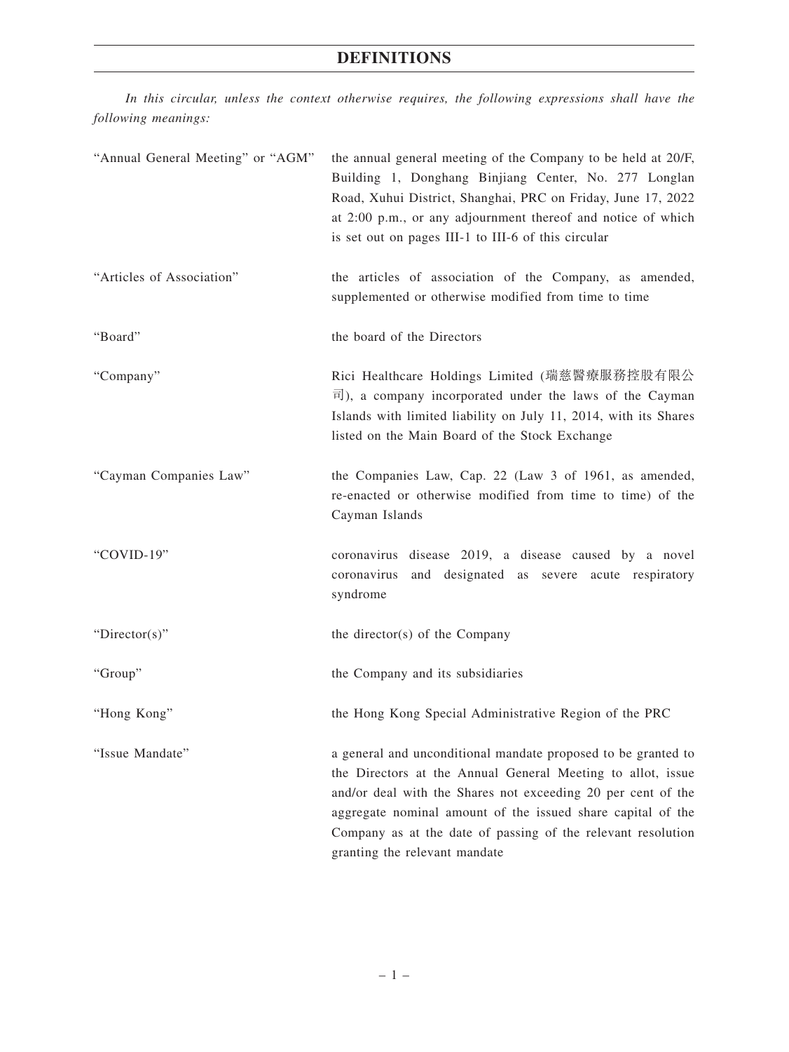## **DEFINITIONS**

*In this circular, unless the context otherwise requires, the following expressions shall have the following meanings:*

| "Annual General Meeting" or "AGM" | the annual general meeting of the Company to be held at 20/F,<br>Building 1, Donghang Binjiang Center, No. 277 Longlan<br>Road, Xuhui District, Shanghai, PRC on Friday, June 17, 2022<br>at 2:00 p.m., or any adjournment thereof and notice of which<br>is set out on pages III-1 to III-6 of this circular                                                |
|-----------------------------------|--------------------------------------------------------------------------------------------------------------------------------------------------------------------------------------------------------------------------------------------------------------------------------------------------------------------------------------------------------------|
| "Articles of Association"         | the articles of association of the Company, as amended,<br>supplemented or otherwise modified from time to time                                                                                                                                                                                                                                              |
| "Board"                           | the board of the Directors                                                                                                                                                                                                                                                                                                                                   |
| "Company"                         | Rici Healthcare Holdings Limited (瑞慈醫療服務控股有限公<br>$\overline{\mathbb{H}}$ ), a company incorporated under the laws of the Cayman<br>Islands with limited liability on July 11, 2014, with its Shares<br>listed on the Main Board of the Stock Exchange                                                                                                        |
| "Cayman Companies Law"            | the Companies Law, Cap. 22 (Law 3 of 1961, as amended,<br>re-enacted or otherwise modified from time to time) of the<br>Cayman Islands                                                                                                                                                                                                                       |
| "COVID-19"                        | coronavirus disease 2019, a disease caused by a novel<br>coronavirus and designated as severe acute respiratory<br>syndrome                                                                                                                                                                                                                                  |
| " $Directory$ "                   | the director(s) of the Company                                                                                                                                                                                                                                                                                                                               |
| "Group"                           | the Company and its subsidiaries                                                                                                                                                                                                                                                                                                                             |
| "Hong Kong"                       | the Hong Kong Special Administrative Region of the PRC                                                                                                                                                                                                                                                                                                       |
| "Issue Mandate"                   | a general and unconditional mandate proposed to be granted to<br>the Directors at the Annual General Meeting to allot, issue<br>and/or deal with the Shares not exceeding 20 per cent of the<br>aggregate nominal amount of the issued share capital of the<br>Company as at the date of passing of the relevant resolution<br>granting the relevant mandate |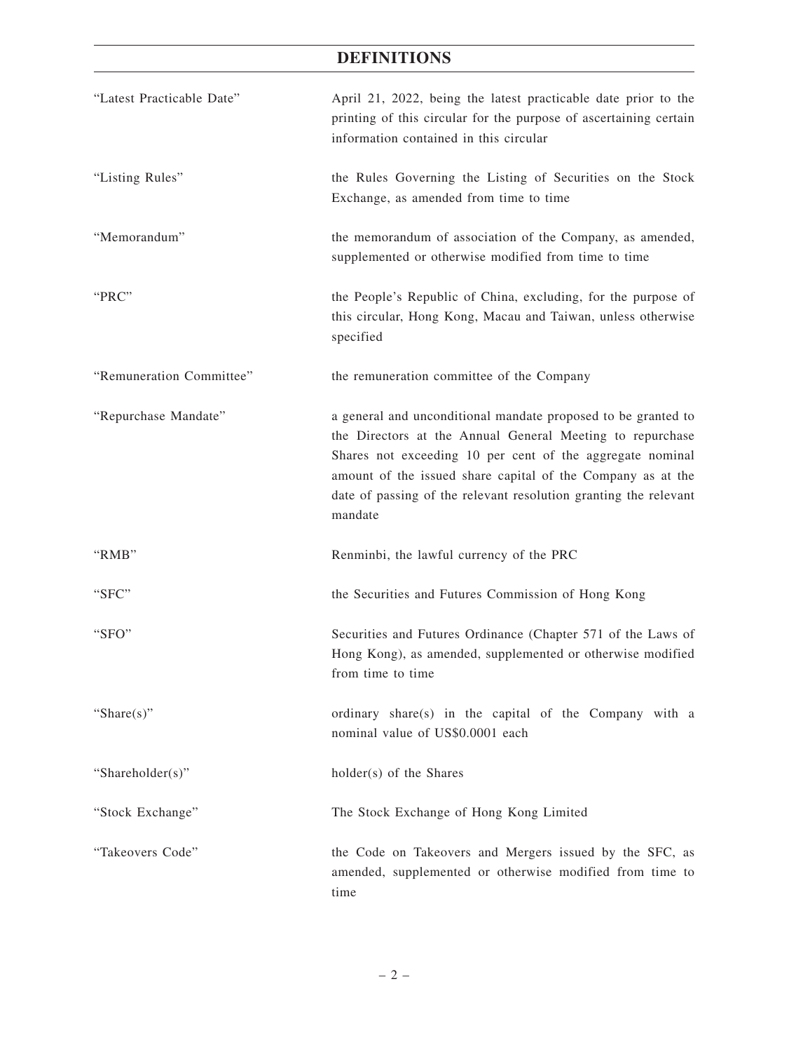## **DEFINITIONS**

| "Latest Practicable Date" | April 21, 2022, being the latest practicable date prior to the<br>printing of this circular for the purpose of ascertaining certain<br>information contained in this circular                                                                                                                                                         |
|---------------------------|---------------------------------------------------------------------------------------------------------------------------------------------------------------------------------------------------------------------------------------------------------------------------------------------------------------------------------------|
| "Listing Rules"           | the Rules Governing the Listing of Securities on the Stock<br>Exchange, as amended from time to time                                                                                                                                                                                                                                  |
| "Memorandum"              | the memorandum of association of the Company, as amended,<br>supplemented or otherwise modified from time to time                                                                                                                                                                                                                     |
| "PRC"                     | the People's Republic of China, excluding, for the purpose of<br>this circular, Hong Kong, Macau and Taiwan, unless otherwise<br>specified                                                                                                                                                                                            |
| "Remuneration Committee"  | the remuneration committee of the Company                                                                                                                                                                                                                                                                                             |
| "Repurchase Mandate"      | a general and unconditional mandate proposed to be granted to<br>the Directors at the Annual General Meeting to repurchase<br>Shares not exceeding 10 per cent of the aggregate nominal<br>amount of the issued share capital of the Company as at the<br>date of passing of the relevant resolution granting the relevant<br>mandate |
| "RMB"                     | Renminbi, the lawful currency of the PRC                                                                                                                                                                                                                                                                                              |
| "SFC"                     | the Securities and Futures Commission of Hong Kong                                                                                                                                                                                                                                                                                    |
| "SFO"                     | Securities and Futures Ordinance (Chapter 571 of the Laws of<br>Hong Kong), as amended, supplemented or otherwise modified<br>from time to time                                                                                                                                                                                       |
| "Share $(s)$ "            | ordinary share(s) in the capital of the Company with a<br>nominal value of US\$0.0001 each                                                                                                                                                                                                                                            |
| "Shareholder(s)"          | holder(s) of the Shares                                                                                                                                                                                                                                                                                                               |
| "Stock Exchange"          | The Stock Exchange of Hong Kong Limited                                                                                                                                                                                                                                                                                               |
| "Takeovers Code"          | the Code on Takeovers and Mergers issued by the SFC, as<br>amended, supplemented or otherwise modified from time to<br>time                                                                                                                                                                                                           |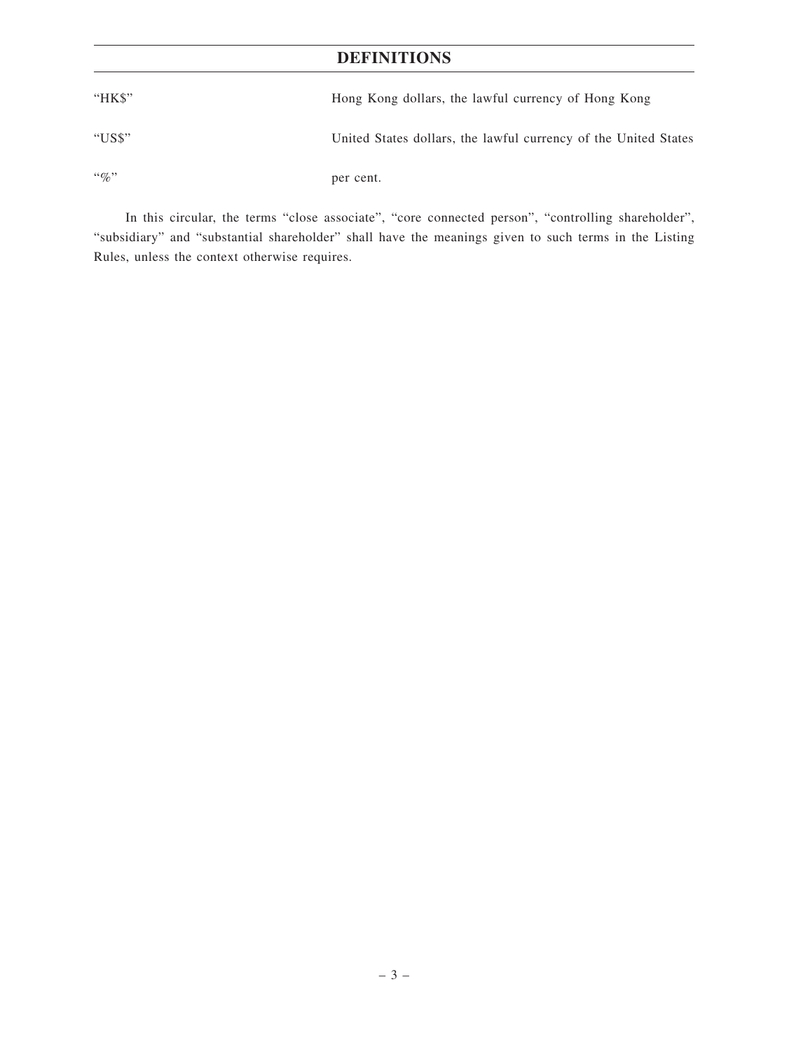## **DEFINITIONS**

| "HK\$"       | Hong Kong dollars, the lawful currency of Hong Kong             |
|--------------|-----------------------------------------------------------------|
| "US\$"       | United States dollars, the lawful currency of the United States |
| $\lq\lq q_0$ | per cent.                                                       |

In this circular, the terms "close associate", "core connected person", "controlling shareholder", "subsidiary" and "substantial shareholder" shall have the meanings given to such terms in the Listing Rules, unless the context otherwise requires.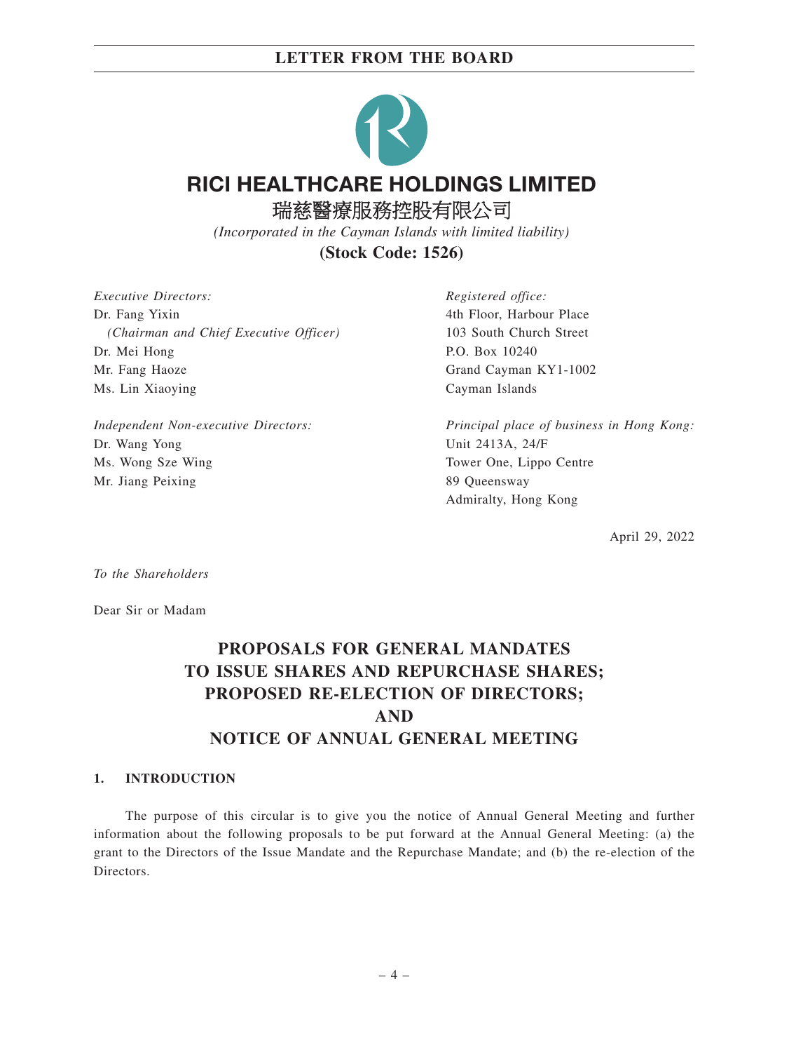

*(Incorporated in the Cayman Islands with limited liability)*

**(Stock Code: 1526)**

*Executive Directors:* Dr. Fang Yixin *(Chairman and Chief Executive Officer)* Dr. Mei Hong Mr. Fang Haoze Ms. Lin Xiaoying

*Independent Non-executive Directors:* Dr. Wang Yong Ms. Wong Sze Wing Mr. Jiang Peixing

*Registered office:* 4th Floor, Harbour Place 103 South Church Street P.O. Box 10240 Grand Cayman KY1-1002 Cayman Islands

*Principal place of business in Hong Kong:* Unit 2413A, 24/F Tower One, Lippo Centre 89 Queensway Admiralty, Hong Kong

April 29, 2022

*To the Shareholders*

Dear Sir or Madam

# **PROPOSALS FOR GENERAL MANDATES TO ISSUE SHARES AND REPURCHASE SHARES; PROPOSED RE-ELECTION OF DIRECTORS; AND NOTICE OF ANNUAL GENERAL MEETING**

### **1. INTRODUCTION**

The purpose of this circular is to give you the notice of Annual General Meeting and further information about the following proposals to be put forward at the Annual General Meeting: (a) the grant to the Directors of the Issue Mandate and the Repurchase Mandate; and (b) the re-election of the Directors.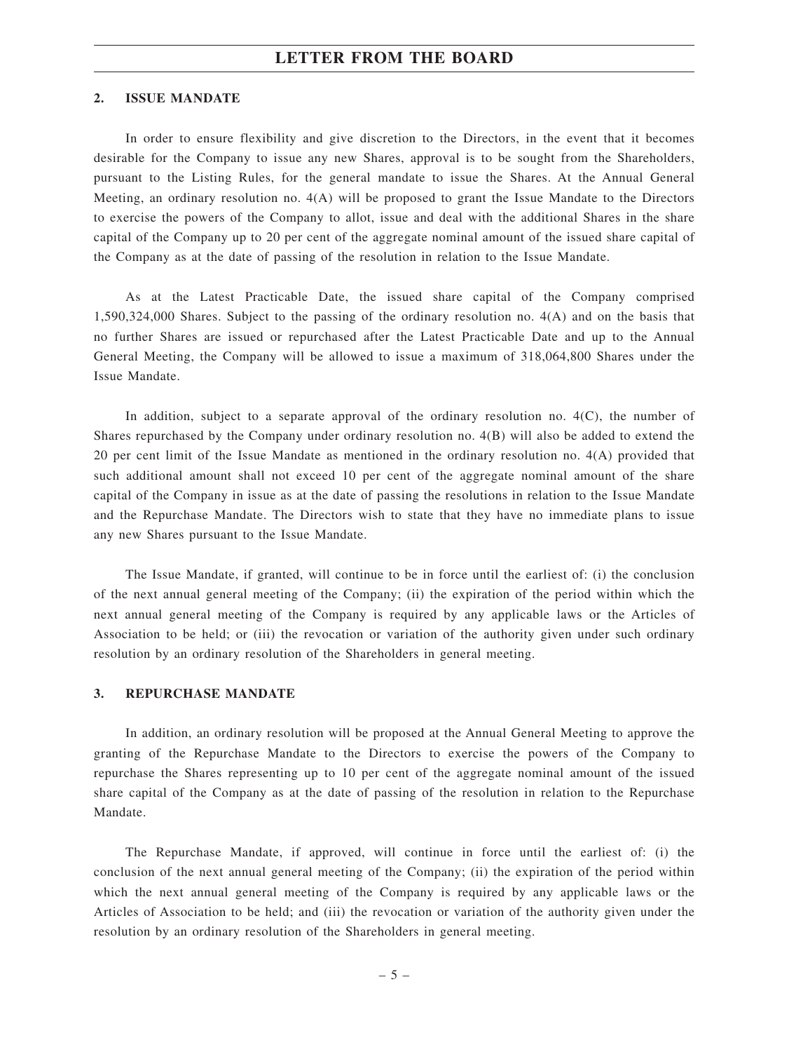#### **2. ISSUE MANDATE**

In order to ensure flexibility and give discretion to the Directors, in the event that it becomes desirable for the Company to issue any new Shares, approval is to be sought from the Shareholders, pursuant to the Listing Rules, for the general mandate to issue the Shares. At the Annual General Meeting, an ordinary resolution no. 4(A) will be proposed to grant the Issue Mandate to the Directors to exercise the powers of the Company to allot, issue and deal with the additional Shares in the share capital of the Company up to 20 per cent of the aggregate nominal amount of the issued share capital of the Company as at the date of passing of the resolution in relation to the Issue Mandate.

As at the Latest Practicable Date, the issued share capital of the Company comprised 1,590,324,000 Shares. Subject to the passing of the ordinary resolution no. 4(A) and on the basis that no further Shares are issued or repurchased after the Latest Practicable Date and up to the Annual General Meeting, the Company will be allowed to issue a maximum of 318,064,800 Shares under the Issue Mandate.

In addition, subject to a separate approval of the ordinary resolution no. 4(C), the number of Shares repurchased by the Company under ordinary resolution no. 4(B) will also be added to extend the 20 per cent limit of the Issue Mandate as mentioned in the ordinary resolution no. 4(A) provided that such additional amount shall not exceed 10 per cent of the aggregate nominal amount of the share capital of the Company in issue as at the date of passing the resolutions in relation to the Issue Mandate and the Repurchase Mandate. The Directors wish to state that they have no immediate plans to issue any new Shares pursuant to the Issue Mandate.

The Issue Mandate, if granted, will continue to be in force until the earliest of: (i) the conclusion of the next annual general meeting of the Company; (ii) the expiration of the period within which the next annual general meeting of the Company is required by any applicable laws or the Articles of Association to be held; or (iii) the revocation or variation of the authority given under such ordinary resolution by an ordinary resolution of the Shareholders in general meeting.

#### **3. REPURCHASE MANDATE**

In addition, an ordinary resolution will be proposed at the Annual General Meeting to approve the granting of the Repurchase Mandate to the Directors to exercise the powers of the Company to repurchase the Shares representing up to 10 per cent of the aggregate nominal amount of the issued share capital of the Company as at the date of passing of the resolution in relation to the Repurchase Mandate.

The Repurchase Mandate, if approved, will continue in force until the earliest of: (i) the conclusion of the next annual general meeting of the Company; (ii) the expiration of the period within which the next annual general meeting of the Company is required by any applicable laws or the Articles of Association to be held; and (iii) the revocation or variation of the authority given under the resolution by an ordinary resolution of the Shareholders in general meeting.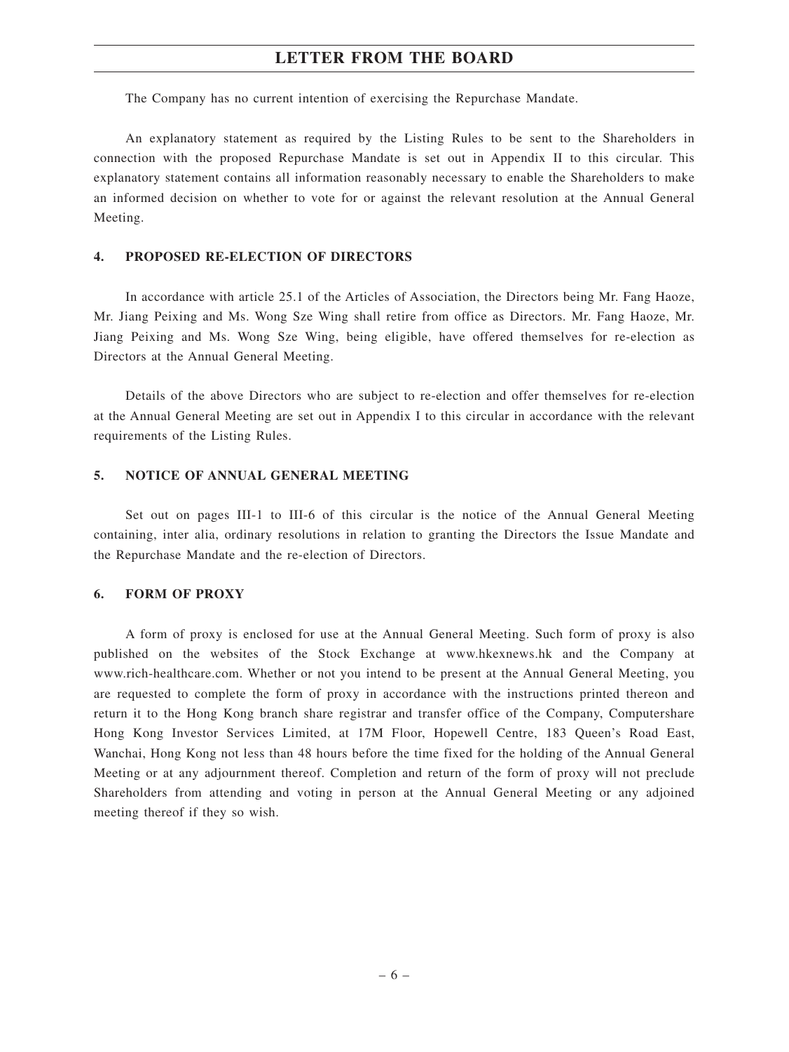The Company has no current intention of exercising the Repurchase Mandate.

An explanatory statement as required by the Listing Rules to be sent to the Shareholders in connection with the proposed Repurchase Mandate is set out in Appendix II to this circular. This explanatory statement contains all information reasonably necessary to enable the Shareholders to make an informed decision on whether to vote for or against the relevant resolution at the Annual General Meeting.

#### **4. PROPOSED RE-ELECTION OF DIRECTORS**

In accordance with article 25.1 of the Articles of Association, the Directors being Mr. Fang Haoze, Mr. Jiang Peixing and Ms. Wong Sze Wing shall retire from office as Directors. Mr. Fang Haoze, Mr. Jiang Peixing and Ms. Wong Sze Wing, being eligible, have offered themselves for re-election as Directors at the Annual General Meeting.

Details of the above Directors who are subject to re-election and offer themselves for re-election at the Annual General Meeting are set out in Appendix I to this circular in accordance with the relevant requirements of the Listing Rules.

#### **5. NOTICE OF ANNUAL GENERAL MEETING**

Set out on pages III-1 to III-6 of this circular is the notice of the Annual General Meeting containing, inter alia, ordinary resolutions in relation to granting the Directors the Issue Mandate and the Repurchase Mandate and the re-election of Directors.

#### **6. FORM OF PROXY**

A form of proxy is enclosed for use at the Annual General Meeting. Such form of proxy is also published on the websites of the Stock Exchange at www.hkexnews.hk and the Company at www.rich-healthcare.com. Whether or not you intend to be present at the Annual General Meeting, you are requested to complete the form of proxy in accordance with the instructions printed thereon and return it to the Hong Kong branch share registrar and transfer office of the Company, Computershare Hong Kong Investor Services Limited, at 17M Floor, Hopewell Centre, 183 Queen's Road East, Wanchai, Hong Kong not less than 48 hours before the time fixed for the holding of the Annual General Meeting or at any adjournment thereof. Completion and return of the form of proxy will not preclude Shareholders from attending and voting in person at the Annual General Meeting or any adjoined meeting thereof if they so wish.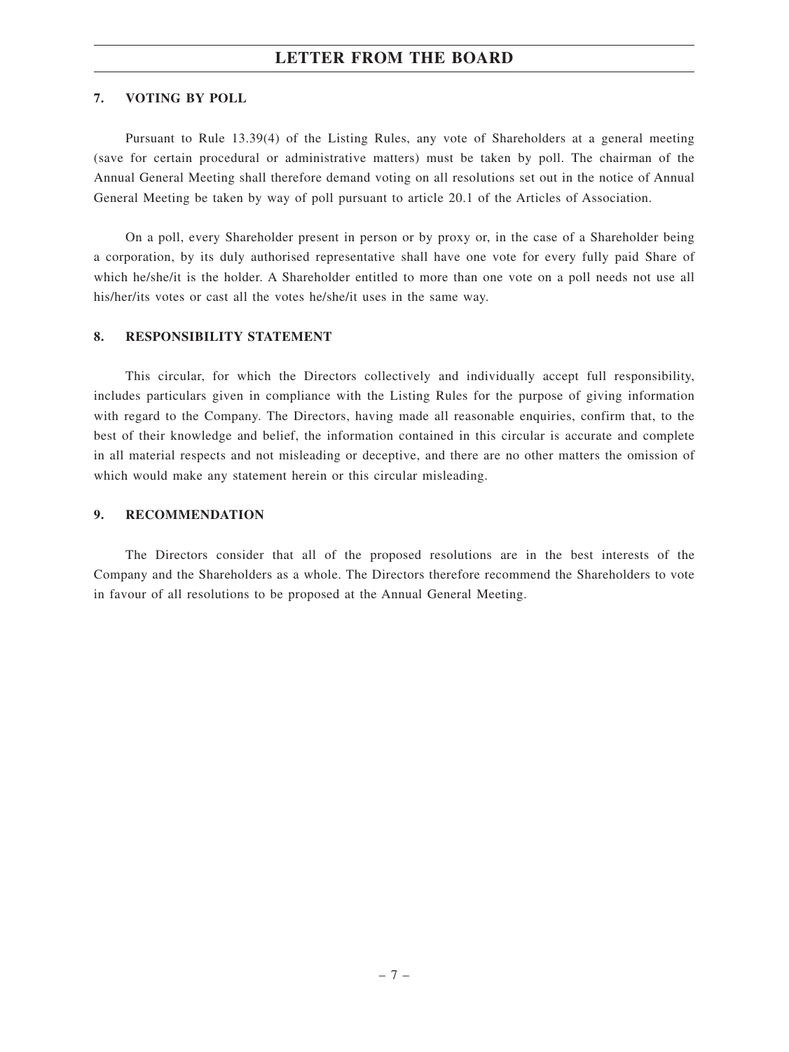### **7. VOTING BY POLL**

Pursuant to Rule 13.39(4) of the Listing Rules, any vote of Shareholders at a general meeting (save for certain procedural or administrative matters) must be taken by poll. The chairman of the Annual General Meeting shall therefore demand voting on all resolutions set out in the notice of Annual General Meeting be taken by way of poll pursuant to article 20.1 of the Articles of Association.

On a poll, every Shareholder present in person or by proxy or, in the case of a Shareholder being a corporation, by its duly authorised representative shall have one vote for every fully paid Share of which he/she/it is the holder. A Shareholder entitled to more than one vote on a poll needs not use all his/her/its votes or cast all the votes he/she/it uses in the same way.

### **8. RESPONSIBILITY STATEMENT**

This circular, for which the Directors collectively and individually accept full responsibility, includes particulars given in compliance with the Listing Rules for the purpose of giving information with regard to the Company. The Directors, having made all reasonable enquiries, confirm that, to the best of their knowledge and belief, the information contained in this circular is accurate and complete in all material respects and not misleading or deceptive, and there are no other matters the omission of which would make any statement herein or this circular misleading.

#### **9. RECOMMENDATION**

The Directors consider that all of the proposed resolutions are in the best interests of the Company and the Shareholders as a whole. The Directors therefore recommend the Shareholders to vote in favour of all resolutions to be proposed at the Annual General Meeting.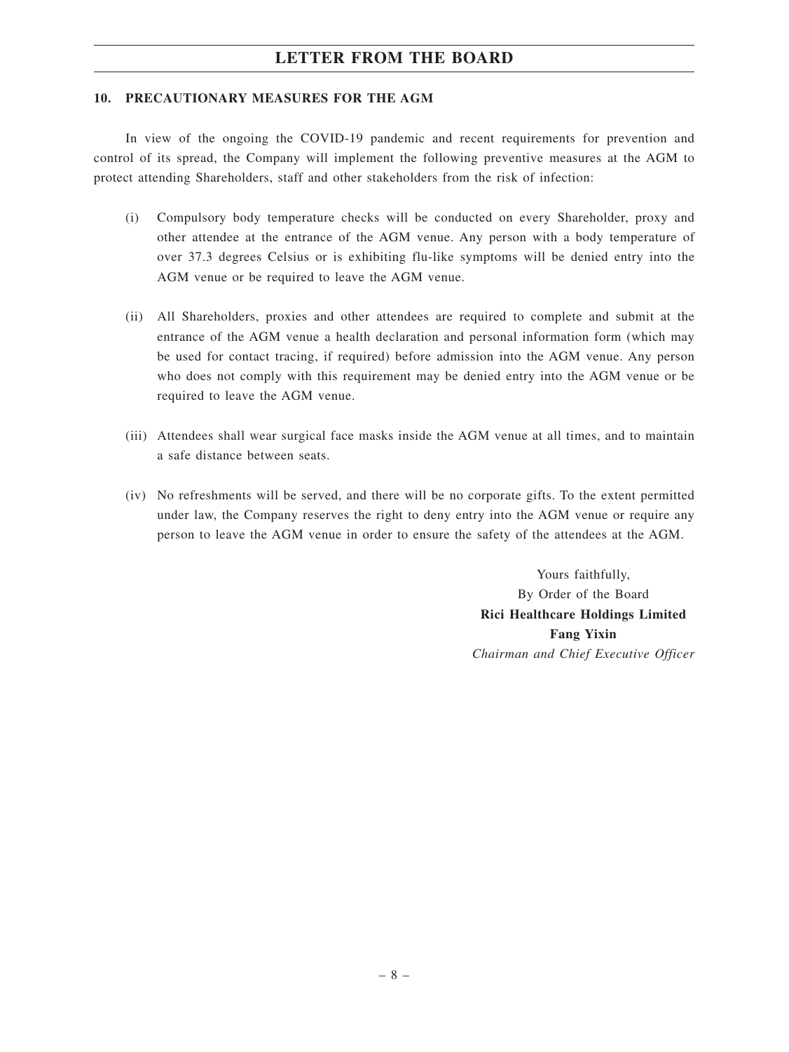#### **10. PRECAUTIONARY MEASURES FOR THE AGM**

In view of the ongoing the COVID-19 pandemic and recent requirements for prevention and control of its spread, the Company will implement the following preventive measures at the AGM to protect attending Shareholders, staff and other stakeholders from the risk of infection:

- (i) Compulsory body temperature checks will be conducted on every Shareholder, proxy and other attendee at the entrance of the AGM venue. Any person with a body temperature of over 37.3 degrees Celsius or is exhibiting flu-like symptoms will be denied entry into the AGM venue or be required to leave the AGM venue.
- (ii) All Shareholders, proxies and other attendees are required to complete and submit at the entrance of the AGM venue a health declaration and personal information form (which may be used for contact tracing, if required) before admission into the AGM venue. Any person who does not comply with this requirement may be denied entry into the AGM venue or be required to leave the AGM venue.
- (iii) Attendees shall wear surgical face masks inside the AGM venue at all times, and to maintain a safe distance between seats.
- (iv) No refreshments will be served, and there will be no corporate gifts. To the extent permitted under law, the Company reserves the right to deny entry into the AGM venue or require any person to leave the AGM venue in order to ensure the safety of the attendees at the AGM.

Yours faithfully, By Order of the Board **Rici Healthcare Holdings Limited Fang Yixin** *Chairman and Chief Executive Officer*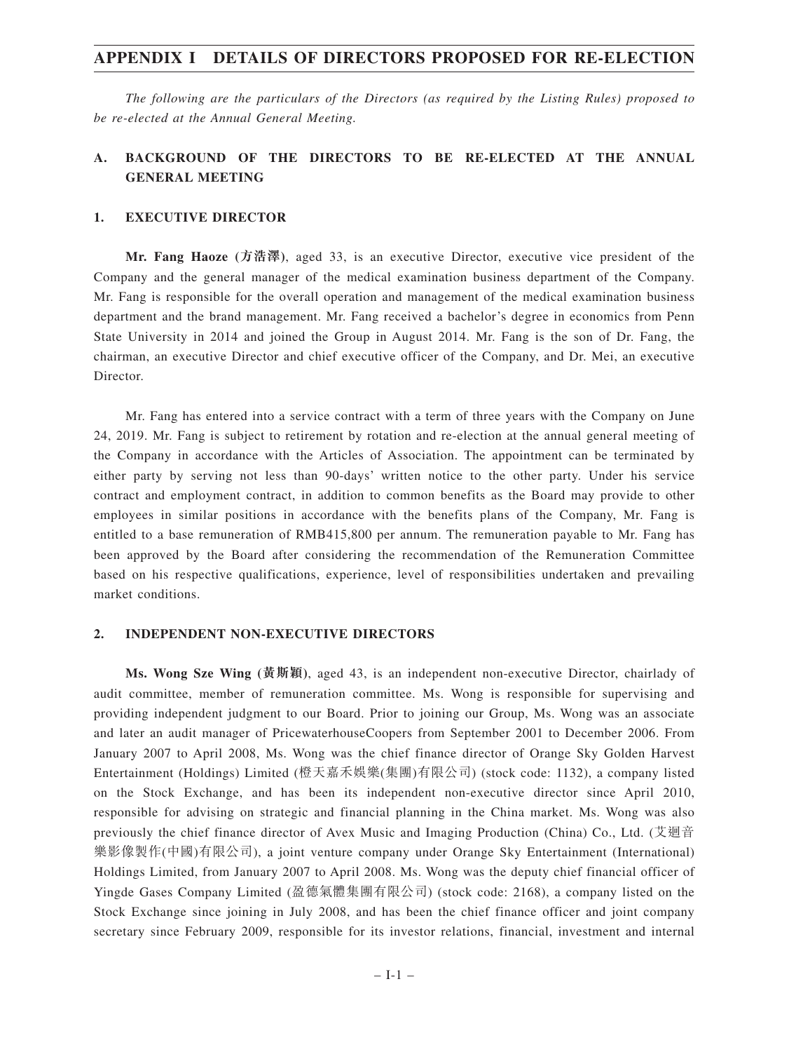## **APPENDIX I DETAILS OF DIRECTORS PROPOSED FOR RE-ELECTION**

*The following are the particulars of the Directors (as required by the Listing Rules) proposed to be re-elected at the Annual General Meeting.*

## **A. BACKGROUND OF THE DIRECTORS TO BE RE-ELECTED AT THE ANNUAL GENERAL MEETING**

#### **1. EXECUTIVE DIRECTOR**

**Mr. Fang Haoze (方浩澤)**, aged 33, is an executive Director, executive vice president of the Company and the general manager of the medical examination business department of the Company. Mr. Fang is responsible for the overall operation and management of the medical examination business department and the brand management. Mr. Fang received a bachelor's degree in economics from Penn State University in 2014 and joined the Group in August 2014. Mr. Fang is the son of Dr. Fang, the chairman, an executive Director and chief executive officer of the Company, and Dr. Mei, an executive Director.

Mr. Fang has entered into a service contract with a term of three years with the Company on June 24, 2019. Mr. Fang is subject to retirement by rotation and re-election at the annual general meeting of the Company in accordance with the Articles of Association. The appointment can be terminated by either party by serving not less than 90-days' written notice to the other party. Under his service contract and employment contract, in addition to common benefits as the Board may provide to other employees in similar positions in accordance with the benefits plans of the Company, Mr. Fang is entitled to a base remuneration of RMB415,800 per annum. The remuneration payable to Mr. Fang has been approved by the Board after considering the recommendation of the Remuneration Committee based on his respective qualifications, experience, level of responsibilities undertaken and prevailing market conditions.

#### **2. INDEPENDENT NON-EXECUTIVE DIRECTORS**

**Ms. Wong Sze Wing (黃斯穎)**, aged 43, is an independent non-executive Director, chairlady of audit committee, member of remuneration committee. Ms. Wong is responsible for supervising and providing independent judgment to our Board. Prior to joining our Group, Ms. Wong was an associate and later an audit manager of PricewaterhouseCoopers from September 2001 to December 2006. From January 2007 to April 2008, Ms. Wong was the chief finance director of Orange Sky Golden Harvest Entertainment (Holdings) Limited (橙天嘉禾娛樂(集團)有限公司) (stock code: 1132), a company listed on the Stock Exchange, and has been its independent non-executive director since April 2010, responsible for advising on strategic and financial planning in the China market. Ms. Wong was also previously the chief finance director of Avex Music and Imaging Production (China) Co., Ltd. (艾迴音 樂影像製作(中國)有限公司), a joint venture company under Orange Sky Entertainment (International) Holdings Limited, from January 2007 to April 2008. Ms. Wong was the deputy chief financial officer of Yingde Gases Company Limited (盈德氣體集團有限公司) (stock code: 2168), a company listed on the Stock Exchange since joining in July 2008, and has been the chief finance officer and joint company secretary since February 2009, responsible for its investor relations, financial, investment and internal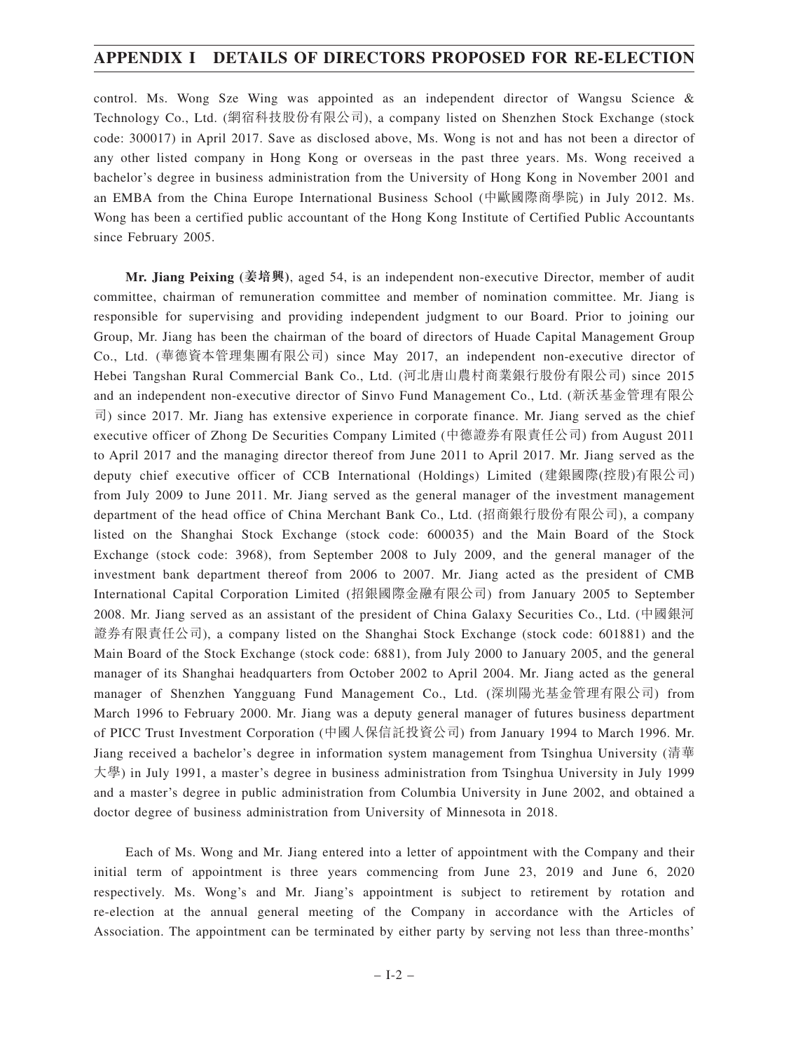## **APPENDIX I DETAILS OF DIRECTORS PROPOSED FOR RE-ELECTION**

control. Ms. Wong Sze Wing was appointed as an independent director of Wangsu Science & Technology Co., Ltd. (網宿科技股份有限公司), a company listed on Shenzhen Stock Exchange (stock code: 300017) in April 2017. Save as disclosed above, Ms. Wong is not and has not been a director of any other listed company in Hong Kong or overseas in the past three years. Ms. Wong received a bachelor's degree in business administration from the University of Hong Kong in November 2001 and an EMBA from the China Europe International Business School (中歐國際商學院) in July 2012. Ms. Wong has been a certified public accountant of the Hong Kong Institute of Certified Public Accountants since February 2005.

**Mr. Jiang Peixing (姜培興)**, aged 54, is an independent non-executive Director, member of audit committee, chairman of remuneration committee and member of nomination committee. Mr. Jiang is responsible for supervising and providing independent judgment to our Board. Prior to joining our Group, Mr. Jiang has been the chairman of the board of directors of Huade Capital Management Group Co., Ltd. (華德資本管理集團有限公司) since May 2017, an independent non-executive director of Hebei Tangshan Rural Commercial Bank Co., Ltd. (河北唐山農村商業銀行股份有限公司) since 2015 and an independent non-executive director of Sinvo Fund Management Co., Ltd. (新沃基金管理有限公 司) since 2017. Mr. Jiang has extensive experience in corporate finance. Mr. Jiang served as the chief executive officer of Zhong De Securities Company Limited (中德證券有限責任公司) from August 2011 to April 2017 and the managing director thereof from June 2011 to April 2017. Mr. Jiang served as the deputy chief executive officer of CCB International (Holdings) Limited (建銀國際(控股)有限公司) from July 2009 to June 2011. Mr. Jiang served as the general manager of the investment management department of the head office of China Merchant Bank Co., Ltd. (招商銀行股份有限公司), a company listed on the Shanghai Stock Exchange (stock code: 600035) and the Main Board of the Stock Exchange (stock code: 3968), from September 2008 to July 2009, and the general manager of the investment bank department thereof from 2006 to 2007. Mr. Jiang acted as the president of CMB International Capital Corporation Limited (招銀國際金融有限公司) from January 2005 to September 2008. Mr. Jiang served as an assistant of the president of China Galaxy Securities Co., Ltd. (中國銀河 證券有限責任公司), a company listed on the Shanghai Stock Exchange (stock code: 601881) and the Main Board of the Stock Exchange (stock code: 6881), from July 2000 to January 2005, and the general manager of its Shanghai headquarters from October 2002 to April 2004. Mr. Jiang acted as the general manager of Shenzhen Yangguang Fund Management Co., Ltd. (深圳陽光基金管理有限公司) from March 1996 to February 2000. Mr. Jiang was a deputy general manager of futures business department of PICC Trust Investment Corporation (中國人保信託投資公司) from January 1994 to March 1996. Mr. Jiang received a bachelor's degree in information system management from Tsinghua University (清華 大學) in July 1991, a master's degree in business administration from Tsinghua University in July 1999 and a master's degree in public administration from Columbia University in June 2002, and obtained a doctor degree of business administration from University of Minnesota in 2018.

Each of Ms. Wong and Mr. Jiang entered into a letter of appointment with the Company and their initial term of appointment is three years commencing from June 23, 2019 and June 6, 2020 respectively. Ms. Wong's and Mr. Jiang's appointment is subject to retirement by rotation and re-election at the annual general meeting of the Company in accordance with the Articles of Association. The appointment can be terminated by either party by serving not less than three-months'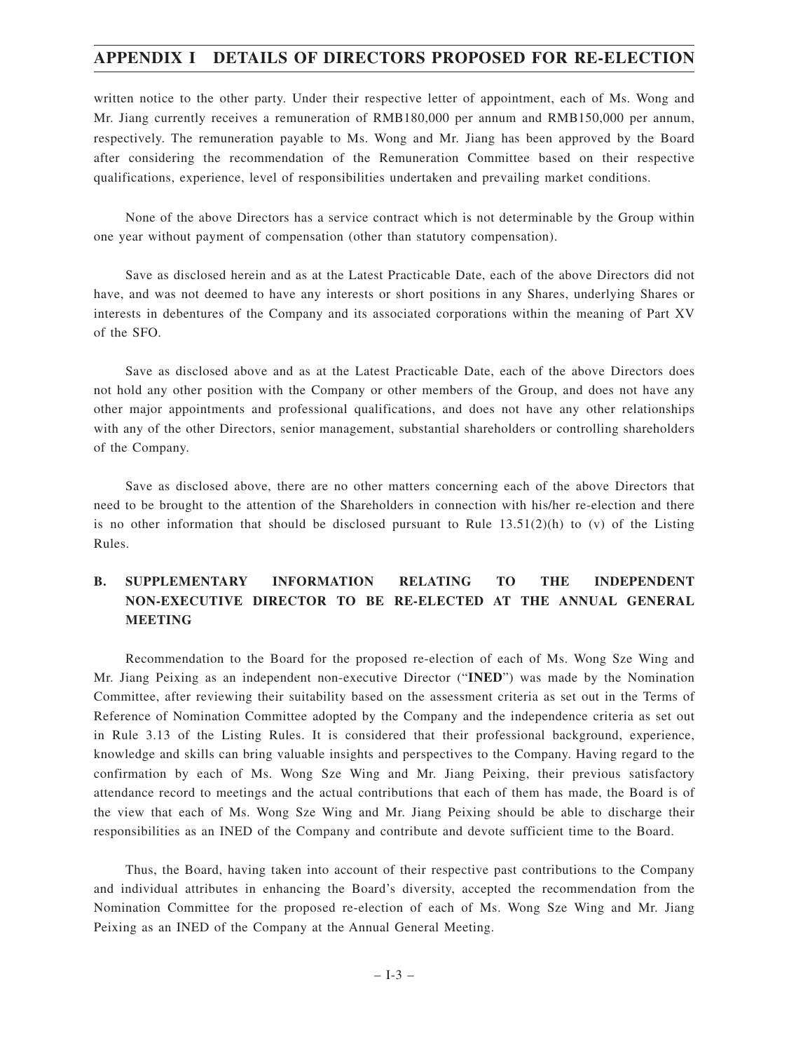## **APPENDIX I DETAILS OF DIRECTORS PROPOSED FOR RE-ELECTION**

written notice to the other party. Under their respective letter of appointment, each of Ms. Wong and Mr. Jiang currently receives a remuneration of RMB180,000 per annum and RMB150,000 per annum, respectively. The remuneration payable to Ms. Wong and Mr. Jiang has been approved by the Board after considering the recommendation of the Remuneration Committee based on their respective qualifications, experience, level of responsibilities undertaken and prevailing market conditions.

None of the above Directors has a service contract which is not determinable by the Group within one year without payment of compensation (other than statutory compensation).

Save as disclosed herein and as at the Latest Practicable Date, each of the above Directors did not have, and was not deemed to have any interests or short positions in any Shares, underlying Shares or interests in debentures of the Company and its associated corporations within the meaning of Part XV of the SFO.

Save as disclosed above and as at the Latest Practicable Date, each of the above Directors does not hold any other position with the Company or other members of the Group, and does not have any other major appointments and professional qualifications, and does not have any other relationships with any of the other Directors, senior management, substantial shareholders or controlling shareholders of the Company.

Save as disclosed above, there are no other matters concerning each of the above Directors that need to be brought to the attention of the Shareholders in connection with his/her re-election and there is no other information that should be disclosed pursuant to Rule  $13.51(2)(h)$  to (v) of the Listing Rules.

## **B. SUPPLEMENTARY INFORMATION RELATING TO THE INDEPENDENT NON-EXECUTIVE DIRECTOR TO BE RE-ELECTED AT THE ANNUAL GENERAL MEETING**

Recommendation to the Board for the proposed re-election of each of Ms. Wong Sze Wing and Mr. Jiang Peixing as an independent non-executive Director ("**INED**") was made by the Nomination Committee, after reviewing their suitability based on the assessment criteria as set out in the Terms of Reference of Nomination Committee adopted by the Company and the independence criteria as set out in Rule 3.13 of the Listing Rules. It is considered that their professional background, experience, knowledge and skills can bring valuable insights and perspectives to the Company. Having regard to the confirmation by each of Ms. Wong Sze Wing and Mr. Jiang Peixing, their previous satisfactory attendance record to meetings and the actual contributions that each of them has made, the Board is of the view that each of Ms. Wong Sze Wing and Mr. Jiang Peixing should be able to discharge their responsibilities as an INED of the Company and contribute and devote sufficient time to the Board.

Thus, the Board, having taken into account of their respective past contributions to the Company and individual attributes in enhancing the Board's diversity, accepted the recommendation from the Nomination Committee for the proposed re-election of each of Ms. Wong Sze Wing and Mr. Jiang Peixing as an INED of the Company at the Annual General Meeting.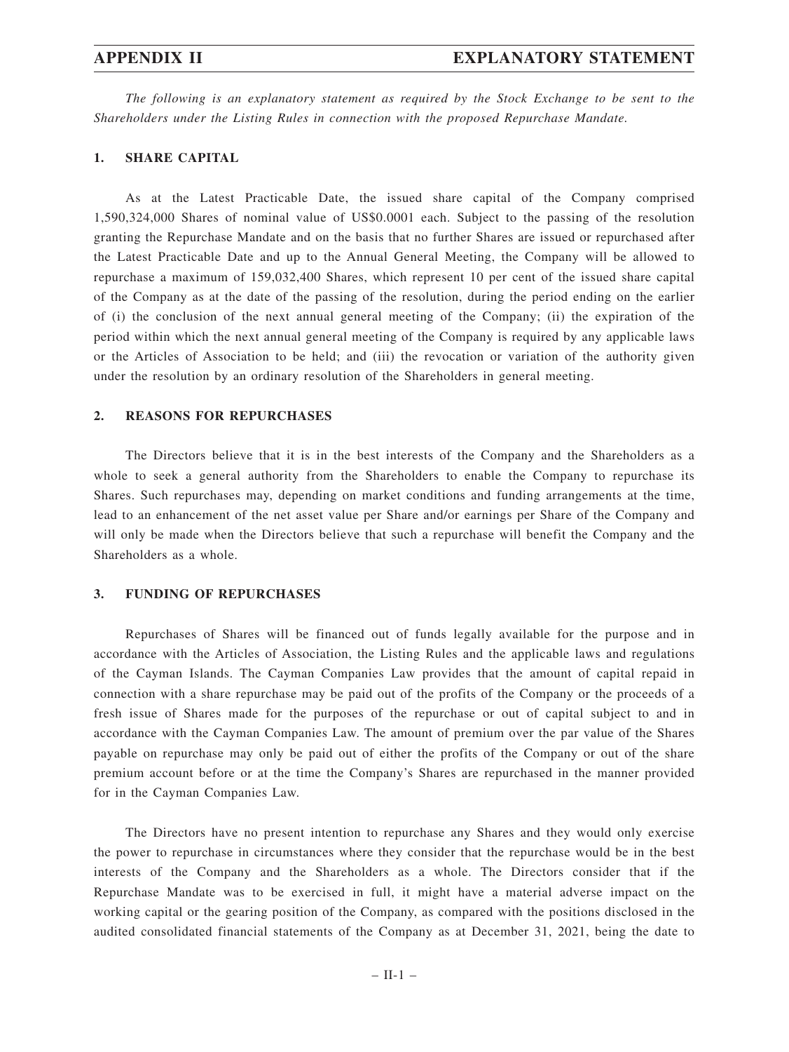*The following is an explanatory statement as required by the Stock Exchange to be sent to the Shareholders under the Listing Rules in connection with the proposed Repurchase Mandate.*

#### **1. SHARE CAPITAL**

As at the Latest Practicable Date, the issued share capital of the Company comprised 1,590,324,000 Shares of nominal value of US\$0.0001 each. Subject to the passing of the resolution granting the Repurchase Mandate and on the basis that no further Shares are issued or repurchased after the Latest Practicable Date and up to the Annual General Meeting, the Company will be allowed to repurchase a maximum of 159,032,400 Shares, which represent 10 per cent of the issued share capital of the Company as at the date of the passing of the resolution, during the period ending on the earlier of (i) the conclusion of the next annual general meeting of the Company; (ii) the expiration of the period within which the next annual general meeting of the Company is required by any applicable laws or the Articles of Association to be held; and (iii) the revocation or variation of the authority given under the resolution by an ordinary resolution of the Shareholders in general meeting.

#### **2. REASONS FOR REPURCHASES**

The Directors believe that it is in the best interests of the Company and the Shareholders as a whole to seek a general authority from the Shareholders to enable the Company to repurchase its Shares. Such repurchases may, depending on market conditions and funding arrangements at the time, lead to an enhancement of the net asset value per Share and/or earnings per Share of the Company and will only be made when the Directors believe that such a repurchase will benefit the Company and the Shareholders as a whole.

#### **3. FUNDING OF REPURCHASES**

Repurchases of Shares will be financed out of funds legally available for the purpose and in accordance with the Articles of Association, the Listing Rules and the applicable laws and regulations of the Cayman Islands. The Cayman Companies Law provides that the amount of capital repaid in connection with a share repurchase may be paid out of the profits of the Company or the proceeds of a fresh issue of Shares made for the purposes of the repurchase or out of capital subject to and in accordance with the Cayman Companies Law. The amount of premium over the par value of the Shares payable on repurchase may only be paid out of either the profits of the Company or out of the share premium account before or at the time the Company's Shares are repurchased in the manner provided for in the Cayman Companies Law.

The Directors have no present intention to repurchase any Shares and they would only exercise the power to repurchase in circumstances where they consider that the repurchase would be in the best interests of the Company and the Shareholders as a whole. The Directors consider that if the Repurchase Mandate was to be exercised in full, it might have a material adverse impact on the working capital or the gearing position of the Company, as compared with the positions disclosed in the audited consolidated financial statements of the Company as at December 31, 2021, being the date to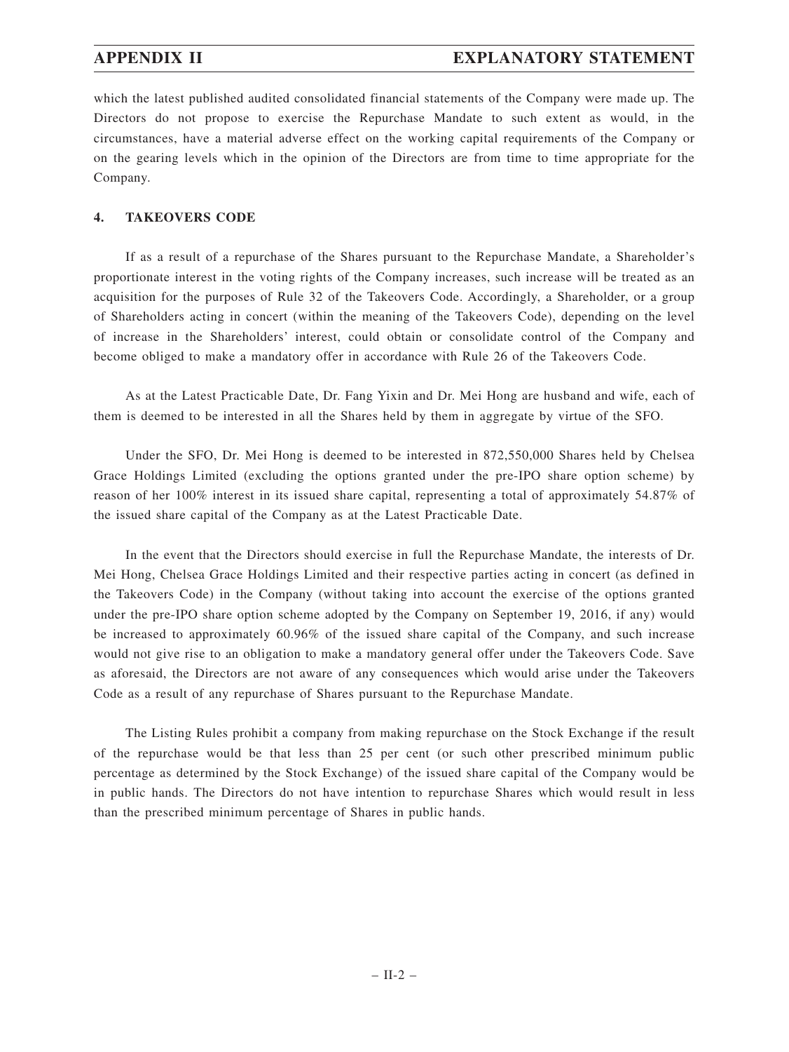which the latest published audited consolidated financial statements of the Company were made up. The Directors do not propose to exercise the Repurchase Mandate to such extent as would, in the circumstances, have a material adverse effect on the working capital requirements of the Company or on the gearing levels which in the opinion of the Directors are from time to time appropriate for the Company.

### **4. TAKEOVERS CODE**

If as a result of a repurchase of the Shares pursuant to the Repurchase Mandate, a Shareholder's proportionate interest in the voting rights of the Company increases, such increase will be treated as an acquisition for the purposes of Rule 32 of the Takeovers Code. Accordingly, a Shareholder, or a group of Shareholders acting in concert (within the meaning of the Takeovers Code), depending on the level of increase in the Shareholders' interest, could obtain or consolidate control of the Company and become obliged to make a mandatory offer in accordance with Rule 26 of the Takeovers Code.

As at the Latest Practicable Date, Dr. Fang Yixin and Dr. Mei Hong are husband and wife, each of them is deemed to be interested in all the Shares held by them in aggregate by virtue of the SFO.

Under the SFO, Dr. Mei Hong is deemed to be interested in 872,550,000 Shares held by Chelsea Grace Holdings Limited (excluding the options granted under the pre-IPO share option scheme) by reason of her 100% interest in its issued share capital, representing a total of approximately 54.87% of the issued share capital of the Company as at the Latest Practicable Date.

In the event that the Directors should exercise in full the Repurchase Mandate, the interests of Dr. Mei Hong, Chelsea Grace Holdings Limited and their respective parties acting in concert (as defined in the Takeovers Code) in the Company (without taking into account the exercise of the options granted under the pre-IPO share option scheme adopted by the Company on September 19, 2016, if any) would be increased to approximately 60.96% of the issued share capital of the Company, and such increase would not give rise to an obligation to make a mandatory general offer under the Takeovers Code. Save as aforesaid, the Directors are not aware of any consequences which would arise under the Takeovers Code as a result of any repurchase of Shares pursuant to the Repurchase Mandate.

The Listing Rules prohibit a company from making repurchase on the Stock Exchange if the result of the repurchase would be that less than 25 per cent (or such other prescribed minimum public percentage as determined by the Stock Exchange) of the issued share capital of the Company would be in public hands. The Directors do not have intention to repurchase Shares which would result in less than the prescribed minimum percentage of Shares in public hands.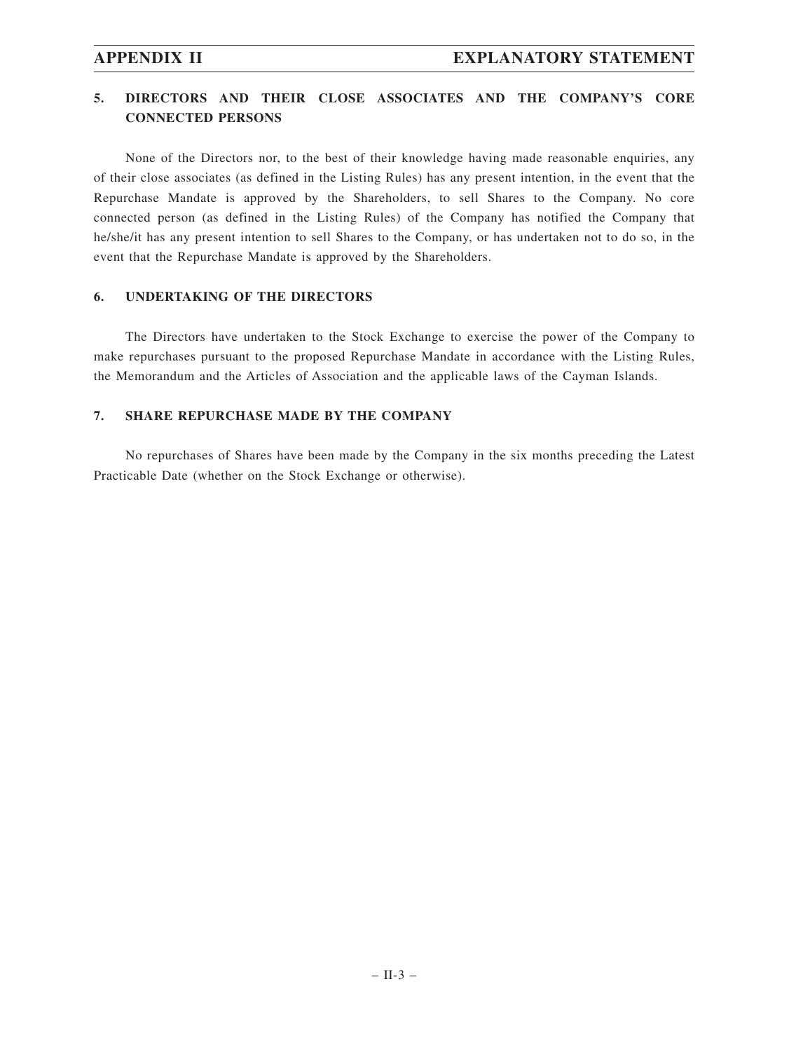## **5. DIRECTORS AND THEIR CLOSE ASSOCIATES AND THE COMPANY'S CORE CONNECTED PERSONS**

None of the Directors nor, to the best of their knowledge having made reasonable enquiries, any of their close associates (as defined in the Listing Rules) has any present intention, in the event that the Repurchase Mandate is approved by the Shareholders, to sell Shares to the Company. No core connected person (as defined in the Listing Rules) of the Company has notified the Company that he/she/it has any present intention to sell Shares to the Company, or has undertaken not to do so, in the event that the Repurchase Mandate is approved by the Shareholders.

### **6. UNDERTAKING OF THE DIRECTORS**

The Directors have undertaken to the Stock Exchange to exercise the power of the Company to make repurchases pursuant to the proposed Repurchase Mandate in accordance with the Listing Rules, the Memorandum and the Articles of Association and the applicable laws of the Cayman Islands.

### **7. SHARE REPURCHASE MADE BY THE COMPANY**

No repurchases of Shares have been made by the Company in the six months preceding the Latest Practicable Date (whether on the Stock Exchange or otherwise).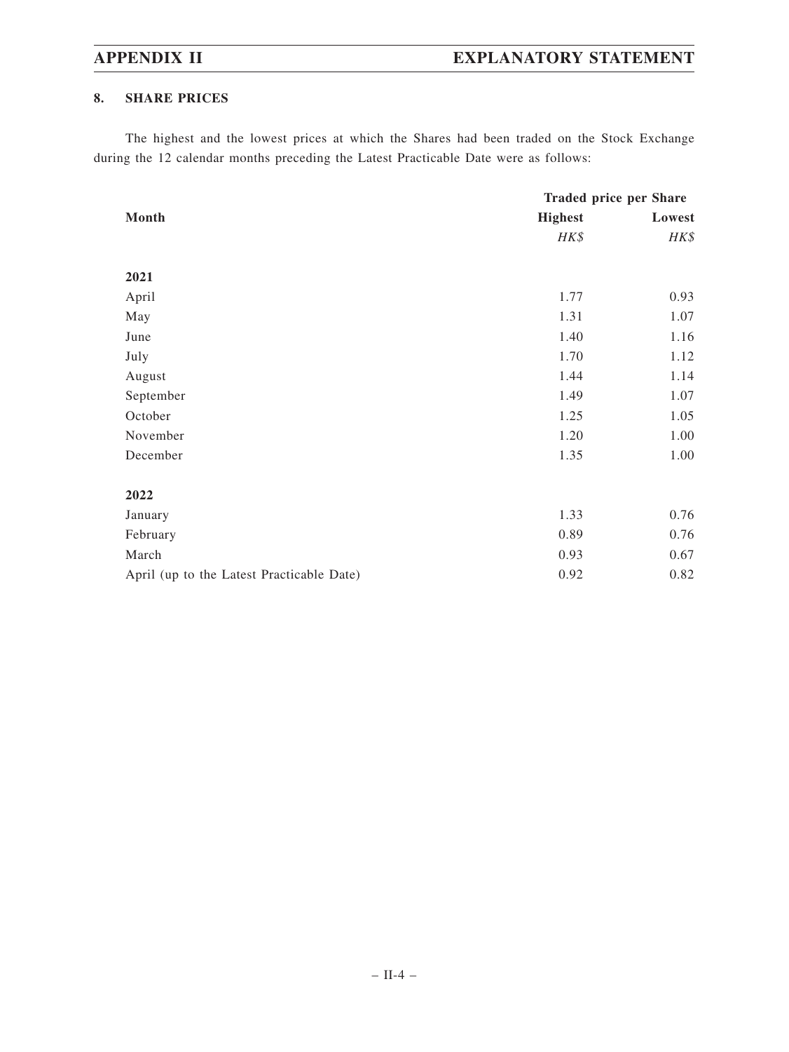## **8. SHARE PRICES**

The highest and the lowest prices at which the Shares had been traded on the Stock Exchange during the 12 calendar months preceding the Latest Practicable Date were as follows:

|                                           | <b>Traded price per Share</b> |        |  |
|-------------------------------------------|-------------------------------|--------|--|
| Month                                     | <b>Highest</b>                | Lowest |  |
|                                           | HK\$                          | HK\$   |  |
|                                           |                               |        |  |
| 2021                                      |                               |        |  |
| April                                     | 1.77                          | 0.93   |  |
| May                                       | 1.31                          | 1.07   |  |
| June                                      | 1.40                          | 1.16   |  |
| July                                      | 1.70                          | 1.12   |  |
| August                                    | 1.44                          | 1.14   |  |
| September                                 | 1.49                          | 1.07   |  |
| October                                   | 1.25                          | 1.05   |  |
| November                                  | 1.20                          | 1.00   |  |
| December                                  | 1.35                          | 1.00   |  |
|                                           |                               |        |  |
| 2022                                      |                               |        |  |
| January                                   | 1.33                          | 0.76   |  |
| February                                  | 0.89                          | 0.76   |  |
| March                                     | 0.93                          | 0.67   |  |
| April (up to the Latest Practicable Date) | 0.92                          | 0.82   |  |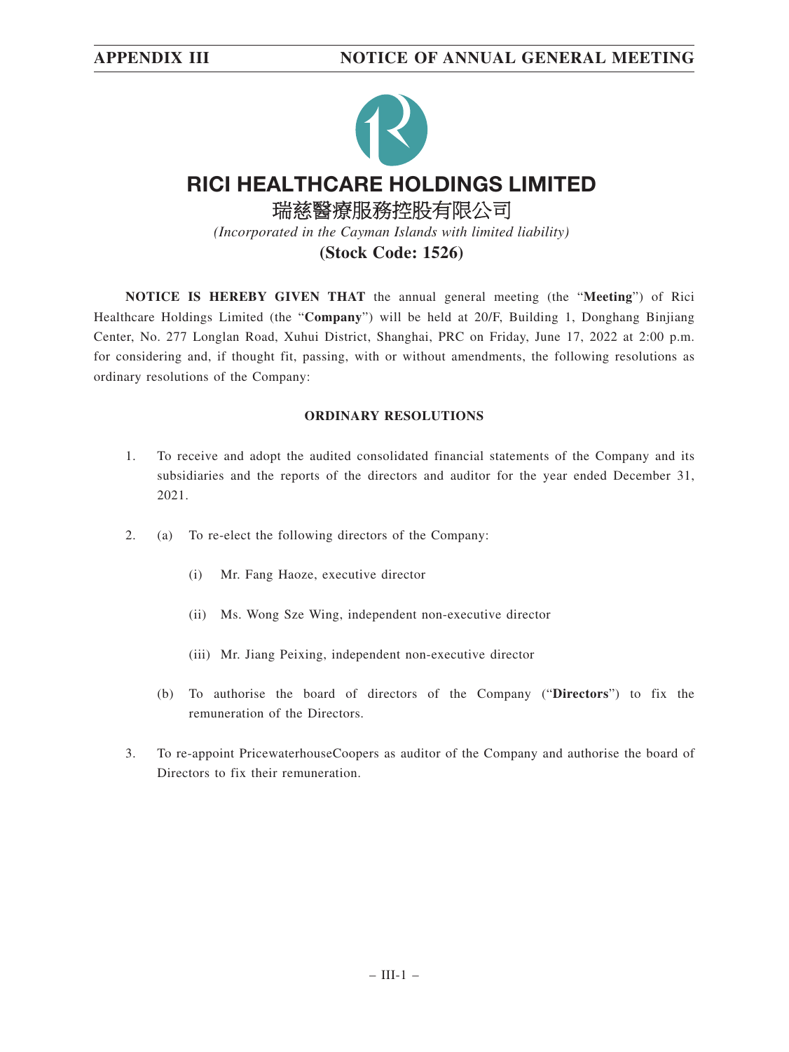

**NOTICE IS HEREBY GIVEN THAT** the annual general meeting (the "**Meeting**") of Rici Healthcare Holdings Limited (the "**Company**") will be held at 20/F, Building 1, Donghang Binjiang Center, No. 277 Longlan Road, Xuhui District, Shanghai, PRC on Friday, June 17, 2022 at 2:00 p.m. for considering and, if thought fit, passing, with or without amendments, the following resolutions as ordinary resolutions of the Company:

### **ORDINARY RESOLUTIONS**

- 1. To receive and adopt the audited consolidated financial statements of the Company and its subsidiaries and the reports of the directors and auditor for the year ended December 31, 2021.
- 2. (a) To re-elect the following directors of the Company:
	- (i) Mr. Fang Haoze, executive director
	- (ii) Ms. Wong Sze Wing, independent non-executive director
	- (iii) Mr. Jiang Peixing, independent non-executive director
	- (b) To authorise the board of directors of the Company ("**Directors**") to fix the remuneration of the Directors.
- 3. To re-appoint PricewaterhouseCoopers as auditor of the Company and authorise the board of Directors to fix their remuneration.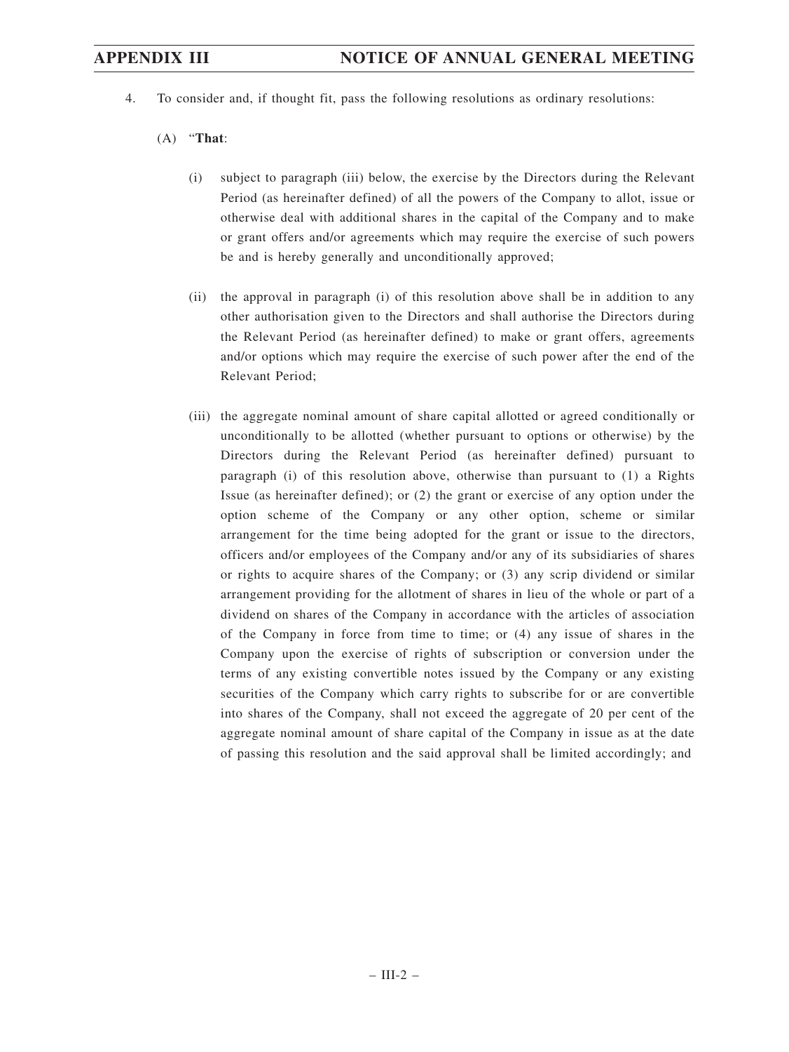4. To consider and, if thought fit, pass the following resolutions as ordinary resolutions:

### (A) "**That**:

- (i) subject to paragraph (iii) below, the exercise by the Directors during the Relevant Period (as hereinafter defined) of all the powers of the Company to allot, issue or otherwise deal with additional shares in the capital of the Company and to make or grant offers and/or agreements which may require the exercise of such powers be and is hereby generally and unconditionally approved;
- (ii) the approval in paragraph (i) of this resolution above shall be in addition to any other authorisation given to the Directors and shall authorise the Directors during the Relevant Period (as hereinafter defined) to make or grant offers, agreements and/or options which may require the exercise of such power after the end of the Relevant Period;
- (iii) the aggregate nominal amount of share capital allotted or agreed conditionally or unconditionally to be allotted (whether pursuant to options or otherwise) by the Directors during the Relevant Period (as hereinafter defined) pursuant to paragraph (i) of this resolution above, otherwise than pursuant to (1) a Rights Issue (as hereinafter defined); or (2) the grant or exercise of any option under the option scheme of the Company or any other option, scheme or similar arrangement for the time being adopted for the grant or issue to the directors, officers and/or employees of the Company and/or any of its subsidiaries of shares or rights to acquire shares of the Company; or (3) any scrip dividend or similar arrangement providing for the allotment of shares in lieu of the whole or part of a dividend on shares of the Company in accordance with the articles of association of the Company in force from time to time; or (4) any issue of shares in the Company upon the exercise of rights of subscription or conversion under the terms of any existing convertible notes issued by the Company or any existing securities of the Company which carry rights to subscribe for or are convertible into shares of the Company, shall not exceed the aggregate of 20 per cent of the aggregate nominal amount of share capital of the Company in issue as at the date of passing this resolution and the said approval shall be limited accordingly; and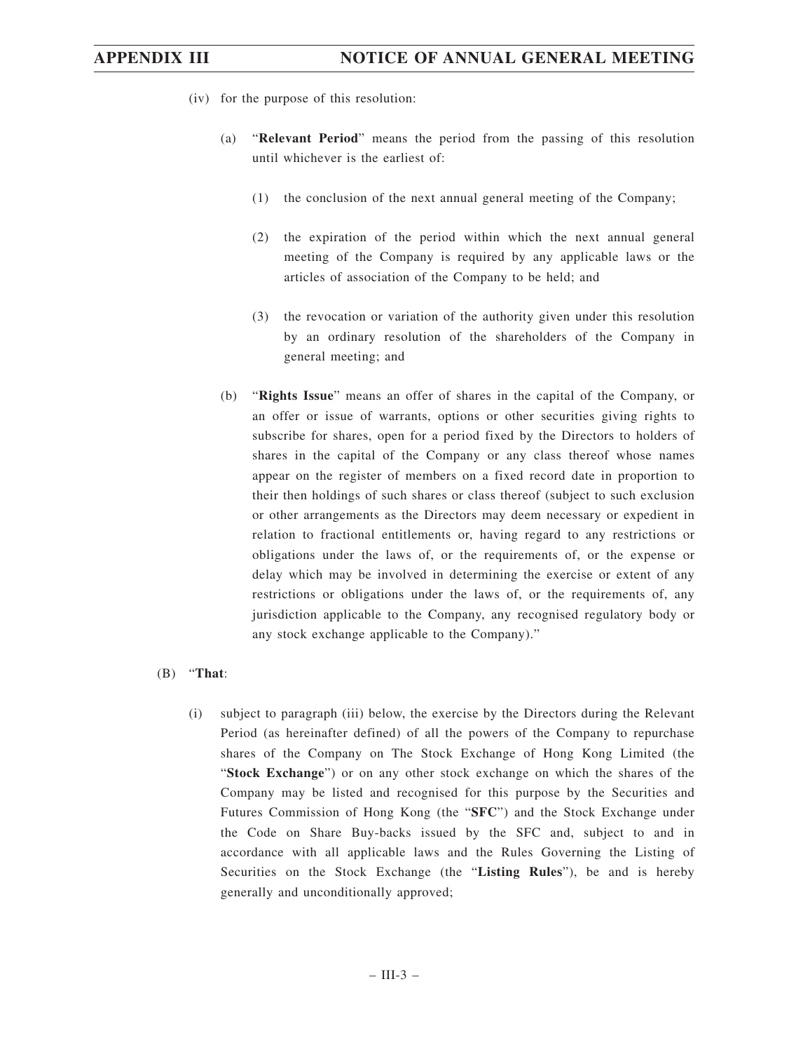- (iv) for the purpose of this resolution:
	- (a) "**Relevant Period**" means the period from the passing of this resolution until whichever is the earliest of:
		- (1) the conclusion of the next annual general meeting of the Company;
		- (2) the expiration of the period within which the next annual general meeting of the Company is required by any applicable laws or the articles of association of the Company to be held; and
		- (3) the revocation or variation of the authority given under this resolution by an ordinary resolution of the shareholders of the Company in general meeting; and
	- (b) "**Rights Issue**" means an offer of shares in the capital of the Company, or an offer or issue of warrants, options or other securities giving rights to subscribe for shares, open for a period fixed by the Directors to holders of shares in the capital of the Company or any class thereof whose names appear on the register of members on a fixed record date in proportion to their then holdings of such shares or class thereof (subject to such exclusion or other arrangements as the Directors may deem necessary or expedient in relation to fractional entitlements or, having regard to any restrictions or obligations under the laws of, or the requirements of, or the expense or delay which may be involved in determining the exercise or extent of any restrictions or obligations under the laws of, or the requirements of, any jurisdiction applicable to the Company, any recognised regulatory body or any stock exchange applicable to the Company)."

### (B) "**That**:

(i) subject to paragraph (iii) below, the exercise by the Directors during the Relevant Period (as hereinafter defined) of all the powers of the Company to repurchase shares of the Company on The Stock Exchange of Hong Kong Limited (the "**Stock Exchange**") or on any other stock exchange on which the shares of the Company may be listed and recognised for this purpose by the Securities and Futures Commission of Hong Kong (the "**SFC**") and the Stock Exchange under the Code on Share Buy-backs issued by the SFC and, subject to and in accordance with all applicable laws and the Rules Governing the Listing of Securities on the Stock Exchange (the "**Listing Rules**"), be and is hereby generally and unconditionally approved;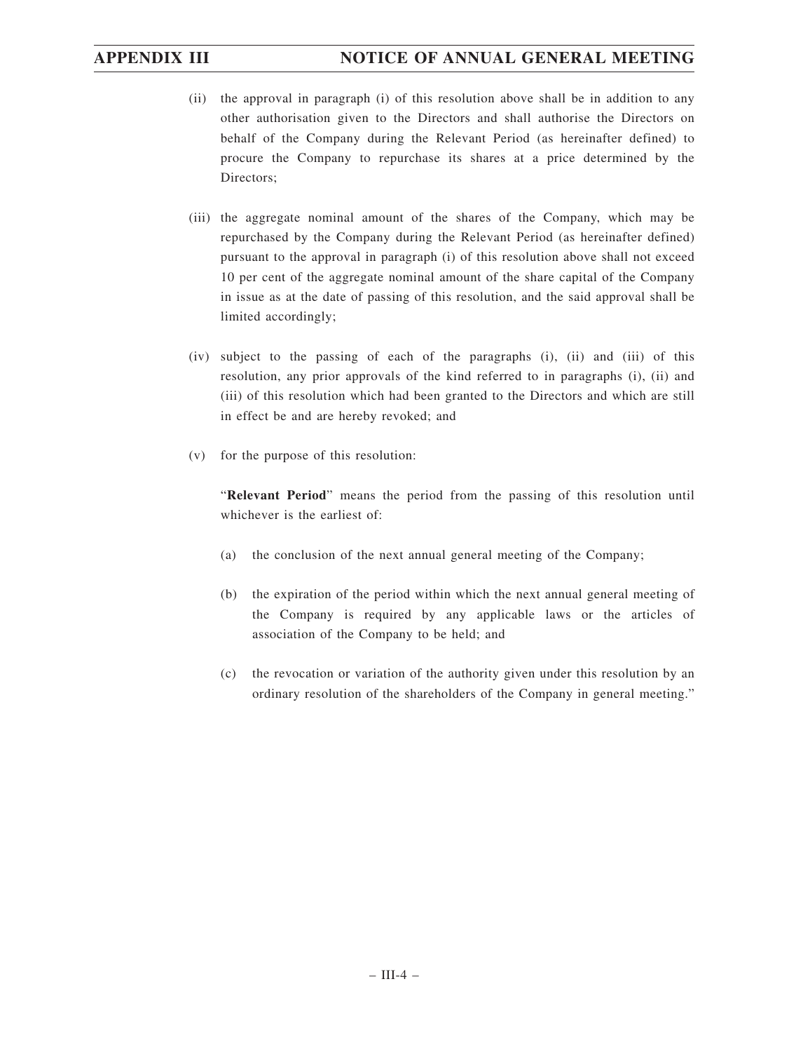- (ii) the approval in paragraph (i) of this resolution above shall be in addition to any other authorisation given to the Directors and shall authorise the Directors on behalf of the Company during the Relevant Period (as hereinafter defined) to procure the Company to repurchase its shares at a price determined by the Directors;
- (iii) the aggregate nominal amount of the shares of the Company, which may be repurchased by the Company during the Relevant Period (as hereinafter defined) pursuant to the approval in paragraph (i) of this resolution above shall not exceed 10 per cent of the aggregate nominal amount of the share capital of the Company in issue as at the date of passing of this resolution, and the said approval shall be limited accordingly;
- (iv) subject to the passing of each of the paragraphs (i), (ii) and (iii) of this resolution, any prior approvals of the kind referred to in paragraphs (i), (ii) and (iii) of this resolution which had been granted to the Directors and which are still in effect be and are hereby revoked; and
- (v) for the purpose of this resolution:

"**Relevant Period**" means the period from the passing of this resolution until whichever is the earliest of:

- (a) the conclusion of the next annual general meeting of the Company;
- (b) the expiration of the period within which the next annual general meeting of the Company is required by any applicable laws or the articles of association of the Company to be held; and
- (c) the revocation or variation of the authority given under this resolution by an ordinary resolution of the shareholders of the Company in general meeting."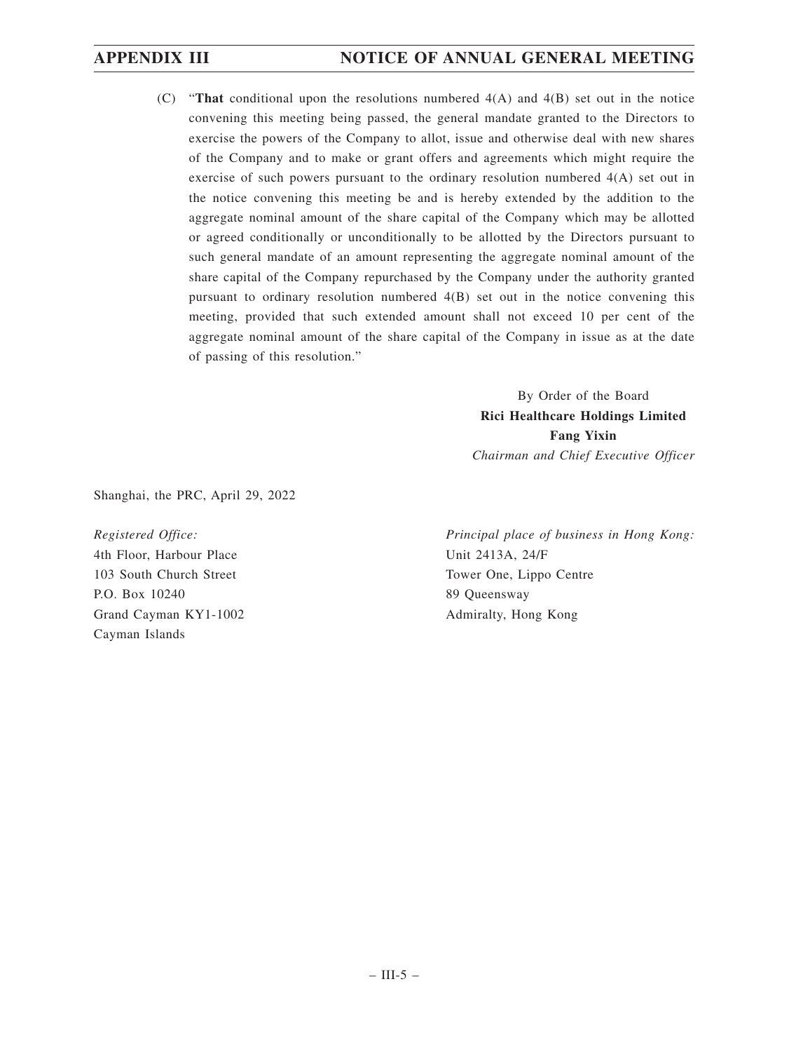(C) "**That** conditional upon the resolutions numbered 4(A) and 4(B) set out in the notice convening this meeting being passed, the general mandate granted to the Directors to exercise the powers of the Company to allot, issue and otherwise deal with new shares of the Company and to make or grant offers and agreements which might require the exercise of such powers pursuant to the ordinary resolution numbered 4(A) set out in the notice convening this meeting be and is hereby extended by the addition to the aggregate nominal amount of the share capital of the Company which may be allotted or agreed conditionally or unconditionally to be allotted by the Directors pursuant to such general mandate of an amount representing the aggregate nominal amount of the share capital of the Company repurchased by the Company under the authority granted pursuant to ordinary resolution numbered 4(B) set out in the notice convening this meeting, provided that such extended amount shall not exceed 10 per cent of the aggregate nominal amount of the share capital of the Company in issue as at the date of passing of this resolution."

> By Order of the Board **Rici Healthcare Holdings Limited Fang Yixin** *Chairman and Chief Executive Officer*

Shanghai, the PRC, April 29, 2022

*Registered Office:* 4th Floor, Harbour Place 103 South Church Street P.O. Box 10240 Grand Cayman KY1-1002 Cayman Islands

*Principal place of business in Hong Kong:* Unit 2413A, 24/F Tower One, Lippo Centre 89 Queensway Admiralty, Hong Kong